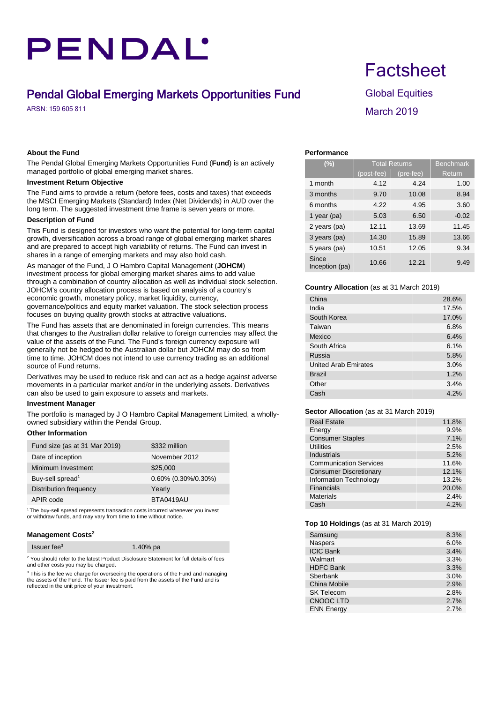# PENDAL'

### Pendal Global Emerging Markets Opportunities Fund Global Equities

### **About the Fund**

The Pendal Global Emerging Markets Opportunities Fund (**Fund**) is an actively managed portfolio of global emerging market shares.

### **Investment Return Objective**

The Fund aims to provide a return (before fees, costs and taxes) that exceeds the MSCI Emerging Markets (Standard) Index (Net Dividends) in AUD over the long term. The suggested investment time frame is seven years or more.

### **Description of Fund**

This Fund is designed for investors who want the potential for long-term capital growth, diversification across a broad range of global emerging market shares and are prepared to accept high variability of returns. The Fund can invest in shares in a range of emerging markets and may also hold cash.

As manager of the Fund, J O Hambro Capital Management (**JOHCM**) investment process for global emerging market shares aims to add value through a combination of country allocation as well as individual stock selection. JOHCM's country allocation process is based on analysis of a country's economic growth, monetary policy, market liquidity, currency, governance/politics and equity market valuation. The stock selection process focuses on buying quality growth stocks at attractive valuations.

The Fund has assets that are denominated in foreign currencies. This means that changes to the Australian dollar relative to foreign currencies may affect the value of the assets of the Fund. The Fund's foreign currency exposure will generally not be hedged to the Australian dollar but JOHCM may do so from time to time. JOHCM does not intend to use currency trading as an additional source of Fund returns.

Derivatives may be used to reduce risk and can act as a hedge against adverse movements in a particular market and/or in the underlying assets. Derivatives can also be used to gain exposure to assets and markets.

#### **Investment Manager**

The portfolio is managed by J O Hambro Capital Management Limited, a whollyowned subsidiary within the Pendal Group.

### **Other Information**

| Fund size (as at 31 Mar 2019) | \$332 million          |
|-------------------------------|------------------------|
| Date of inception             | November 2012          |
| Minimum Investment            | \$25,000               |
| Buy-sell spread <sup>1</sup>  | $0.60\%$ (0.30%/0.30%) |
| Distribution frequency        | Yearly                 |
| APIR code                     | BTA0419AU              |
|                               |                        |

<sup>1</sup> The buy-sell spread represents transaction costs incurred whenever you invest or withdraw funds, and may vary from time to time without notice.

### **Management Costs2**

|  | Issuer fee $3$ | 1.40% pa |
|--|----------------|----------|
|--|----------------|----------|

<sup>2</sup> You should refer to the latest Product Disclosure Statement for full details of fees and other costs you may be charged.

<sup>3</sup> This is the fee we charge for overseeing the operations of the Fund and managing the assets of the Fund. The Issuer fee is paid from the assets of the Fund and is reflected in the unit price of your investment.

### **Factsheet**

## ARSN: 159 605 811 March 2019

### **Performance**

| (%)                     | <b>Total Returns</b> |           | <b>Benchmark</b> |
|-------------------------|----------------------|-----------|------------------|
|                         | (post-fee)           | (pre-fee) | Return           |
| 1 month                 | 4.12                 | 4.24      | 1.00             |
| 3 months                | 9.70                 | 10.08     | 8.94             |
| 6 months                | 4.22                 | 4.95      | 3.60             |
| 1 year ( $pa$ )         | 5.03                 | 6.50      | $-0.02$          |
| 2 years (pa)            | 12.11                | 13.69     | 11.45            |
| 3 years (pa)            | 14.30                | 15.89     | 13.66            |
| 5 years (pa)            | 10.51                | 12.05     | 9.34             |
| Since<br>Inception (pa) | 10.66                | 12.21     | 9.49             |

### **Country Allocation** (as at 31 March 2019)

| China                       | 28.6% |
|-----------------------------|-------|
| India                       | 17.5% |
| South Korea                 | 17.0% |
| Taiwan                      | 6.8%  |
| Mexico                      | 6.4%  |
| South Africa                | 6.1%  |
| Russia                      | 5.8%  |
| <b>United Arab Emirates</b> | 3.0%  |
| <b>Brazil</b>               | 1.2%  |
| Other                       | 3.4%  |
| Cash                        | 4.2%  |

### **Sector Allocation** (as at 31 March 2019)

| <b>Real Estate</b>            | 11.8% |
|-------------------------------|-------|
| Energy                        | 9.9%  |
| <b>Consumer Staples</b>       | 7.1%  |
| Utilities                     | 2.5%  |
| <b>Industrials</b>            | 5.2%  |
| <b>Communication Services</b> | 11.6% |
| <b>Consumer Discretionary</b> | 12.1% |
| <b>Information Technology</b> | 13.2% |
| <b>Financials</b>             | 20.0% |
| <b>Materials</b>              | 2.4%  |
| Cash                          | 4.2%  |

### **Top 10 Holdings** (as at 31 March 2019)

| Samsung           | 8.3% |
|-------------------|------|
| <b>Naspers</b>    | 6.0% |
| <b>ICIC Bank</b>  | 3.4% |
| Walmart           | 3.3% |
| <b>HDFC Bank</b>  | 3.3% |
| Sberbank          | 3.0% |
| China Mobile      | 2.9% |
| <b>SK Telecom</b> | 2.8% |
| <b>CNOOC LTD</b>  | 2.7% |
| <b>ENN Energy</b> | 2.7% |
|                   |      |